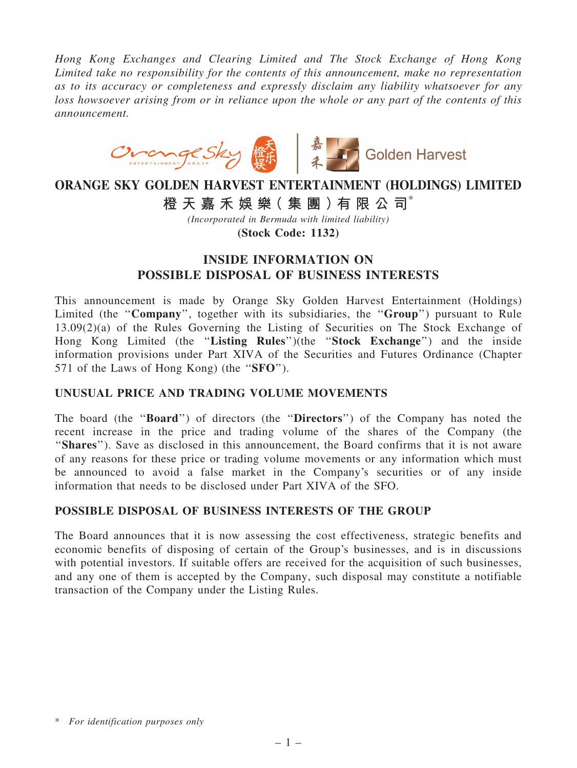*Hong Kong Exchanges and Clearing Limited and The Stock Exchange of Hong Kong Limited take no responsibility for the contents of this announcement, make no representation as to its accuracy or completeness and expressly disclaim any liability whatsoever for any loss howsoever arising from or in reliance upon the whole or any part of the contents of this announcement.*



# ORANGE SKY GOLDEN HARVEST ENTERTAINMENT (HOLDINGS) LIMITED 橙 天 嘉 禾 娛 樂 (集 團 ) 有 限 公 司 $^*$

*(Incorporated in Bermuda with limited liability)*

(Stock Code: 1132)

## INSIDE INFORMATION ON POSSIBLE DISPOSAL OF BUSINESS INTERESTS

This announcement is made by Orange Sky Golden Harvest Entertainment (Holdings) Limited (the "Company", together with its subsidiaries, the "Group") pursuant to Rule 13.09(2)(a) of the Rules Governing the Listing of Securities on The Stock Exchange of Hong Kong Limited (the "Listing Rules")(the "Stock Exchange") and the inside information provisions under Part XIVA of the Securities and Futures Ordinance (Chapter 571 of the Laws of Hong Kong) (the "SFO").

### UNUSUAL PRICE AND TRADING VOLUME MOVEMENTS

The board (the "**Board**") of directors (the "**Directors**") of the Company has noted the recent increase in the price and trading volume of the shares of the Company (the "Shares"). Save as disclosed in this announcement, the Board confirms that it is not aware of any reasons for these price or trading volume movements or any information which must be announced to avoid a false market in the Company's securities or of any inside information that needs to be disclosed under Part XIVA of the SFO.

### POSSIBLE DISPOSAL OF BUSINESS INTERESTS OF THE GROUP

The Board announces that it is now assessing the cost effectiveness, strategic benefits and economic benefits of disposing of certain of the Group's businesses, and is in discussions with potential investors. If suitable offers are received for the acquisition of such businesses, and any one of them is accepted by the Company, such disposal may constitute a notifiable transaction of the Company under the Listing Rules.

<sup>\*</sup> *For identification purposes only*